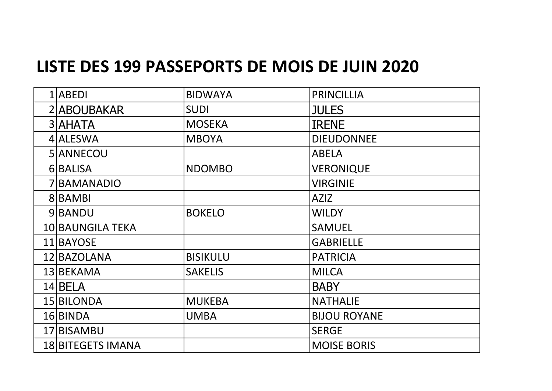## **LISTE DES 199 PASSEPORTS DE MOIS DE JUIN 2020**

| $1$  ABEDI               | <b>BIDWAYA</b>  | <b>PRINCILLIA</b>   |
|--------------------------|-----------------|---------------------|
| 2 ABOUBAKAR              | <b>SUDI</b>     | <b>JULES</b>        |
| 3 AHATA                  | <b>MOSEKA</b>   | <b>IRENE</b>        |
| 4 ALESWA                 | <b>MBOYA</b>    | <b>DIEUDONNEE</b>   |
| 5 ANNECOU                |                 | <b>ABELA</b>        |
| 6 BALISA                 | <b>NDOMBO</b>   | <b>VERONIQUE</b>    |
| 7 BAMANADIO              |                 | <b>VIRGINIE</b>     |
| 8 BAMBI                  |                 | <b>AZIZ</b>         |
| 9 BANDU                  | <b>BOKELO</b>   | <b>WILDY</b>        |
| 10 BAUNGILA TEKA         |                 | <b>SAMUEL</b>       |
| 11 BAYOSE                |                 | <b>GABRIELLE</b>    |
| 12 BAZOLANA              | <b>BISIKULU</b> | <b>PATRICIA</b>     |
| 13 BEKAMA                | <b>SAKELIS</b>  | <b>MILCA</b>        |
| 14 BELA                  |                 | <b>BABY</b>         |
| 15 BILONDA               | <b>MUKEBA</b>   | <b>NATHALIE</b>     |
| 16 BINDA                 | <b>UMBA</b>     | <b>BIJOU ROYANE</b> |
| 17 BISAMBU               |                 | <b>SERGE</b>        |
| <b>18 BITEGETS IMANA</b> |                 | <b>MOISE BORIS</b>  |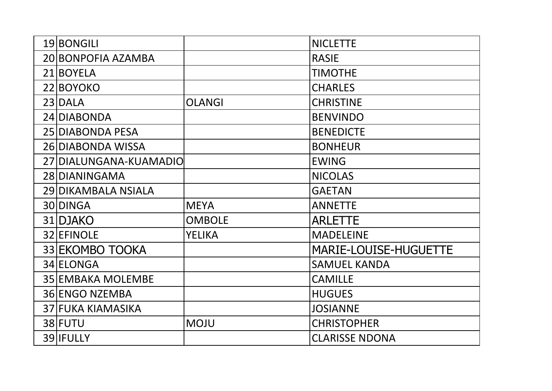| 19 BONGILI               |               | <b>NICLETTE</b>              |
|--------------------------|---------------|------------------------------|
| 20 BONPOFIA AZAMBA       |               | <b>RASIE</b>                 |
| 21 BOYELA                |               | <b>TIMOTHE</b>               |
| 22 BOYOKO                |               | <b>CHARLES</b>               |
| 23 DALA                  | <b>OLANGI</b> | <b>CHRISTINE</b>             |
| 24 DIABONDA              |               | <b>BENVINDO</b>              |
| 25 DIABONDA PESA         |               | <b>BENEDICTE</b>             |
| 26 DIABONDA WISSA        |               | <b>BONHEUR</b>               |
| 27 DIALUNGANA-KUAMADIO   |               | <b>EWING</b>                 |
| 28 DIANINGAMA            |               | <b>NICOLAS</b>               |
| 29 DIKAMBALA NSIALA      |               | <b>GAETAN</b>                |
| 30 DINGA                 | <b>MEYA</b>   | <b>ANNETTE</b>               |
| 31 DJAKO                 | <b>OMBOLE</b> | <b>ARLETTE</b>               |
| 32 EFINOLE               | <b>YELIKA</b> | <b>MADELEINE</b>             |
| 33 EKOMBO TOOKA          |               | <b>MARIE-LOUISE-HUGUETTE</b> |
| 34 ELONGA                |               | <b>SAMUEL KANDA</b>          |
| <b>35 EMBAKA MOLEMBE</b> |               | <b>CAMILLE</b>               |
| 36 ENGO NZEMBA           |               | <b>HUGUES</b>                |
| <b>37 FUKA KIAMASIKA</b> |               | <b>JOSIANNE</b>              |
| 38 FUTU                  | <b>MOJU</b>   | <b>CHRISTOPHER</b>           |
| 39 IFULLY                |               | <b>CLARISSE NDONA</b>        |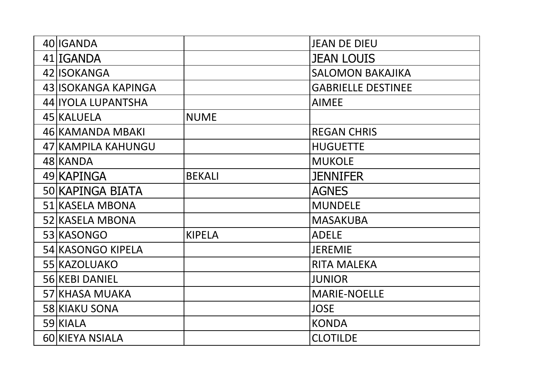| 40 IGANDA           |               | <b>JEAN DE DIEU</b>       |
|---------------------|---------------|---------------------------|
| 41 IGANDA           |               | <b>JEAN LOUIS</b>         |
| 42 ISOKANGA         |               | <b>SALOMON BAKAJIKA</b>   |
| 43 ISOKANGA KAPINGA |               | <b>GABRIELLE DESTINEE</b> |
| 44 IYOLA LUPANTSHA  |               | <b>AIMEE</b>              |
| 45 KALUELA          | <b>NUME</b>   |                           |
| 46 KAMANDA MBAKI    |               | <b>REGAN CHRIS</b>        |
| 47 KAMPILA KAHUNGU  |               | <b>HUGUETTE</b>           |
| 48 KANDA            |               | <b>MUKOLE</b>             |
| 49 KAPINGA          | <b>BEKALI</b> | <b>JENNIFER</b>           |
| 50 KAPINGA BIATA    |               | <b>AGNES</b>              |
| 51 KASELA MBONA     |               | <b>MUNDELE</b>            |
| 52 KASELA MBONA     |               | <b>MASAKUBA</b>           |
| 53 KASONGO          | <b>KIPELA</b> | <b>ADELE</b>              |
| 54 KASONGO KIPELA   |               | <b>JEREMIE</b>            |
| 55 KAZOLUAKO        |               | <b>RITA MALEKA</b>        |
| 56 KEBI DANIEL      |               | <b>JUNIOR</b>             |
| 57 KHASA MUAKA      |               | <b>MARIE-NOELLE</b>       |
| 58 KIAKU SONA       |               | <b>JOSE</b>               |
| 59 KIALA            |               | <b>KONDA</b>              |
| 60 KIEYA NSIALA     |               | <b>CLOTILDE</b>           |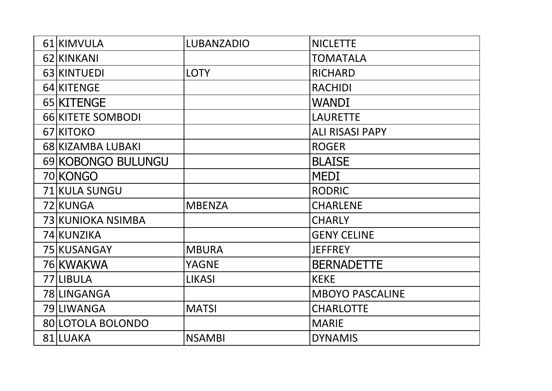| 61 KIMVULA         | <b>LUBANZADIO</b> | <b>NICLETTE</b>        |
|--------------------|-------------------|------------------------|
| 62 KINKANI         |                   | <b>TOMATALA</b>        |
| 63 KINTUEDI        | <b>LOTY</b>       | <b>RICHARD</b>         |
| 64 KITENGE         |                   | <b>RACHIDI</b>         |
| 65 KITENGE         |                   | <b>WANDI</b>           |
| 66 KITETE SOMBODI  |                   | <b>LAURETTE</b>        |
| 67 KITOKO          |                   | <b>ALI RISASI PAPY</b> |
| 68 KIZAMBA LUBAKI  |                   | <b>ROGER</b>           |
| 69 KOBONGO BULUNGU |                   | <b>BLAISE</b>          |
| 70 KONGO           |                   | <b>MEDI</b>            |
| 71 KULA SUNGU      |                   | <b>RODRIC</b>          |
| 72 KUNGA           | <b>MBENZA</b>     | <b>CHARLENE</b>        |
| 73 KUNIOKA NSIMBA  |                   | <b>CHARLY</b>          |
| 74 KUNZIKA         |                   | <b>GENY CELINE</b>     |
| 75 KUSANGAY        | <b>MBURA</b>      | <b>JEFFREY</b>         |
| 76 KWAKWA          | <b>YAGNE</b>      | <b>BERNADETTE</b>      |
| 77 LIBULA          | <b>LIKASI</b>     | <b>KEKE</b>            |
| 78LINGANGA         |                   | <b>MBOYO PASCALINE</b> |
| 79 LIWANGA         | <b>MATSI</b>      | <b>CHARLOTTE</b>       |
| 80 LOTOLA BOLONDO  |                   | <b>MARIE</b>           |
| 81 LUAKA           | <b>NSAMBI</b>     | <b>DYNAMIS</b>         |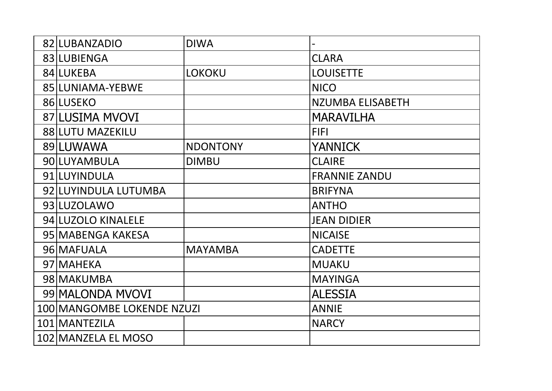| 82 LUBANZADIO              | <b>DIWA</b>     |                         |
|----------------------------|-----------------|-------------------------|
| 83 LUBIENGA                |                 | <b>CLARA</b>            |
| 84 LUKEBA                  | <b>LOKOKU</b>   | <b>LOUISETTE</b>        |
| 85 LUNIAMA-YEBWE           |                 | <b>NICO</b>             |
| 86 LUSEKO                  |                 | <b>NZUMBA ELISABETH</b> |
| <b>87 LUSIMA MVOVI</b>     |                 | <b>MARAVILHA</b>        |
| 88 LUTU MAZEKILU           |                 | <b>FIFI</b>             |
| 89 LUWAWA                  | <b>NDONTONY</b> | <b>YANNICK</b>          |
| 90 LUYAMBULA               | <b>DIMBU</b>    | <b>CLAIRE</b>           |
| 91 LUYINDULA               |                 | <b>FRANNIE ZANDU</b>    |
| 92 LUYINDULA LUTUMBA       |                 | <b>BRIFYNA</b>          |
| 93 LUZOLAWO                |                 | <b>ANTHO</b>            |
| 94 LUZOLO KINALELE         |                 | <b>JEAN DIDIER</b>      |
| 95 MABENGA KAKESA          |                 | <b>NICAISE</b>          |
| 96 MAFUALA                 | <b>MAYAMBA</b>  | <b>CADETTE</b>          |
| 97 MAHEKA                  |                 | <b>MUAKU</b>            |
| 98 MAKUMBA                 |                 | <b>MAYINGA</b>          |
| 99 MALONDA MVOVI           |                 | <b>ALESSIA</b>          |
| 100 MANGOMBE LOKENDE NZUZI |                 | <b>ANNIE</b>            |
| 101 MANTEZILA              |                 | <b>NARCY</b>            |
| 102 MANZELA EL MOSO        |                 |                         |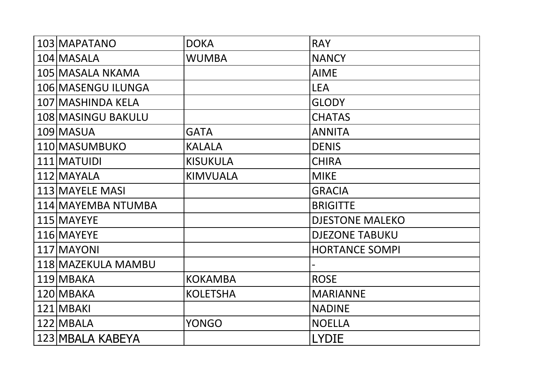| 103 MAPATANO       | <b>DOKA</b>     | <b>RAY</b>             |
|--------------------|-----------------|------------------------|
| 104 MASALA         | <b>WUMBA</b>    | <b>NANCY</b>           |
| 105 MASALA NKAMA   |                 | <b>AIME</b>            |
| 106 MASENGU ILUNGA |                 | <b>LEA</b>             |
| 107 MASHINDA KELA  |                 | <b>GLODY</b>           |
| 108 MASINGU BAKULU |                 | <b>CHATAS</b>          |
| 109 MASUA          | <b>GATA</b>     | <b>ANNITA</b>          |
| 110 MASUMBUKO      | <b>KALALA</b>   | <b>DENIS</b>           |
| 111 MATUIDI        | <b>KISUKULA</b> | <b>CHIRA</b>           |
| 112 MAYALA         | <b>KIMVUALA</b> | <b>MIKE</b>            |
| 113 MAYELE MASI    |                 | <b>GRACIA</b>          |
| 114 MAYEMBA NTUMBA |                 | <b>BRIGITTE</b>        |
| 115 MAYEYE         |                 | <b>DJESTONE MALEKO</b> |
| 116 MAYEYE         |                 | <b>DJEZONE TABUKU</b>  |
| 117 MAYONI         |                 | <b>HORTANCE SOMPI</b>  |
| 118 MAZEKULA MAMBU |                 |                        |
| 119 MBAKA          | <b>KOKAMBA</b>  | <b>ROSE</b>            |
| 120 MBAKA          | <b>KOLETSHA</b> | <b>MARIANNE</b>        |
| 121 MBAKI          |                 | <b>NADINE</b>          |
| 122 MBALA          | <b>YONGO</b>    | <b>NOELLA</b>          |
| 123 MBALA KABEYA   |                 | <b>LYDIE</b>           |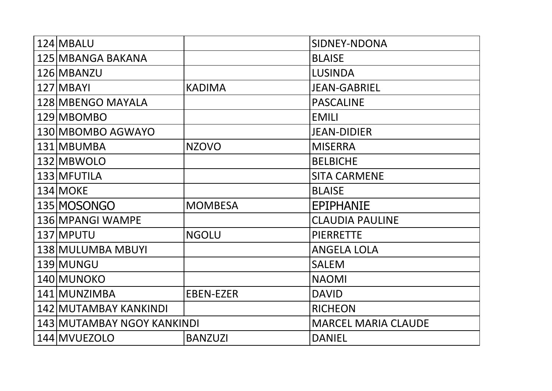| 124 MBALU                  |                  | SIDNEY-NDONA               |
|----------------------------|------------------|----------------------------|
| 125 MBANGA BAKANA          |                  | <b>BLAISE</b>              |
| 126 MBANZU                 |                  | <b>LUSINDA</b>             |
| 127 MBAYI                  | <b>KADIMA</b>    | <b>JEAN-GABRIEL</b>        |
| 128 MBENGO MAYALA          |                  | <b>PASCALINE</b>           |
| 129 MBOMBO                 |                  | <b>EMILI</b>               |
| 130 MBOMBO AGWAYO          |                  | <b>JEAN-DIDIER</b>         |
| 131 MBUMBA                 | <b>NZOVO</b>     | <b>MISERRA</b>             |
| 132 MBWOLO                 |                  | <b>BELBICHE</b>            |
| 133 MFUTILA                |                  | <b>SITA CARMENE</b>        |
| 134 MOKE                   |                  | <b>BLAISE</b>              |
| 135 MOSONGO                | <b>MOMBESA</b>   | <b>EPIPHANIE</b>           |
| 136 MPANGI WAMPE           |                  | <b>CLAUDIA PAULINE</b>     |
| 137 MPUTU                  | <b>NGOLU</b>     | <b>PIERRETTE</b>           |
| 138 MULUMBA MBUYI          |                  | <b>ANGELA LOLA</b>         |
| 139 MUNGU                  |                  | <b>SALEM</b>               |
| 140 MUNOKO                 |                  | <b>NAOMI</b>               |
| 141 MUNZIMBA               | <b>EBEN-EZER</b> | <b>DAVID</b>               |
| 142 MUTAMBAY KANKINDI      |                  | <b>RICHEON</b>             |
| 143 MUTAMBAY NGOY KANKINDI |                  | <b>MARCEL MARIA CLAUDE</b> |
| 144 MVUEZOLO               | <b>BANZUZI</b>   | <b>DANIEL</b>              |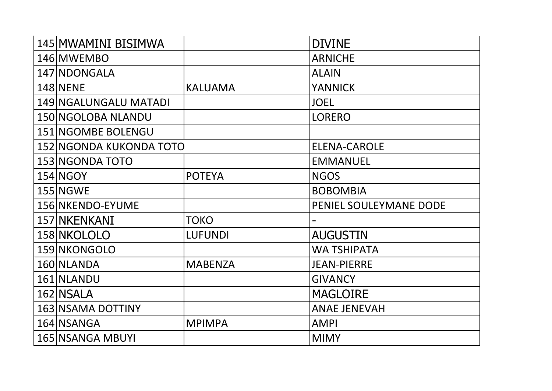| 145 MWAMINI BISIMWA     |                | <b>DIVINE</b>          |
|-------------------------|----------------|------------------------|
| 146 MWEMBO              |                | <b>ARNICHE</b>         |
| 147 NDONGALA            |                | <b>ALAIN</b>           |
| 148 NENE                | <b>KALUAMA</b> | <b>YANNICK</b>         |
| 149 NGALUNGALU MATADI   |                | <b>JOEL</b>            |
| 150 NGOLOBA NLANDU      |                | <b>LORERO</b>          |
| 151 NGOMBE BOLENGU      |                |                        |
| 152 NGONDA KUKONDA TOTO |                | <b>ELENA-CAROLE</b>    |
| 153 NGONDA TOTO         |                | <b>EMMANUEL</b>        |
| <b>154 NGOY</b>         | <b>POTEYA</b>  | <b>NGOS</b>            |
| <b>155 NGWE</b>         |                | <b>BOBOMBIA</b>        |
| 156 NKENDO-EYUME        |                | PENIEL SOULEYMANE DODE |
| 157 NKENKANI            | <b>TOKO</b>    |                        |
| 158 NKOLOLO             | <b>LUFUNDI</b> | <b>AUGUSTIN</b>        |
| 159 NKONGOLO            |                | <b>WA TSHIPATA</b>     |
| 160 NLANDA              | <b>MABENZA</b> | <b>JEAN-PIERRE</b>     |
| 161 NLANDU              |                | <b>GIVANCY</b>         |
| 162 NSALA               |                | <b>MAGLOIRE</b>        |
| 163 NSAMA DOTTINY       |                | <b>ANAE JENEVAH</b>    |
| 164 NSANGA              | <b>MPIMPA</b>  | <b>AMPI</b>            |
| 165 NSANGA MBUYI        |                | <b>MIMY</b>            |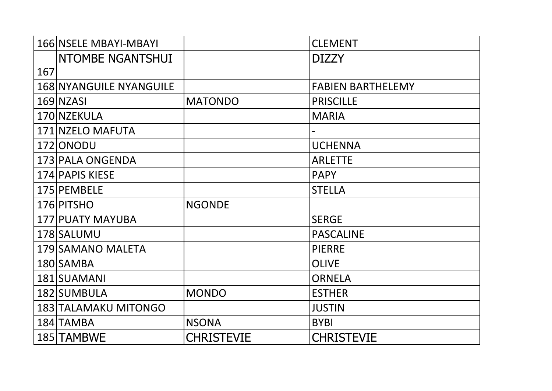|     | <b>166 NSELE MBAYI-MBAYI</b>   |                   | <b>CLEMENT</b>           |
|-----|--------------------------------|-------------------|--------------------------|
|     | <b>INTOMBE NGANTSHUI</b>       |                   | <b>DIZZY</b>             |
| 167 |                                |                   |                          |
|     | <b>168 NYANGUILE NYANGUILE</b> |                   | <b>FABIEN BARTHELEMY</b> |
|     | 169 NZASI                      | <b>MATONDO</b>    | <b>PRISCILLE</b>         |
|     | 170 NZEKULA                    |                   | <b>MARIA</b>             |
|     | 171 NZELO MAFUTA               |                   |                          |
|     | 172 ONODU                      |                   | <b>UCHENNA</b>           |
|     | 173 PALA ONGENDA               |                   | <b>ARLETTE</b>           |
|     | 174 PAPIS KIESE                |                   | <b>PAPY</b>              |
|     | 175 PEMBELE                    |                   | <b>STELLA</b>            |
|     | 176 PITSHO                     | <b>NGONDE</b>     |                          |
|     | 177 PUATY MAYUBA               |                   | <b>SERGE</b>             |
|     | 178 SALUMU                     |                   | <b>PASCALINE</b>         |
|     | 179 SAMANO MALETA              |                   | <b>PIERRE</b>            |
|     | 180 SAMBA                      |                   | <b>OLIVE</b>             |
|     | 181 SUAMANI                    |                   | <b>ORNELA</b>            |
|     | 182 SUMBULA                    | <b>MONDO</b>      | <b>ESTHER</b>            |
|     | 183 TALAMAKU MITONGO           |                   | <b>JUSTIN</b>            |
|     | 184 TAMBA                      | <b>NSONA</b>      | <b>BYBI</b>              |
|     | 185 TAMBWE                     | <b>CHRISTEVIE</b> | <b>CHRISTEVIE</b>        |